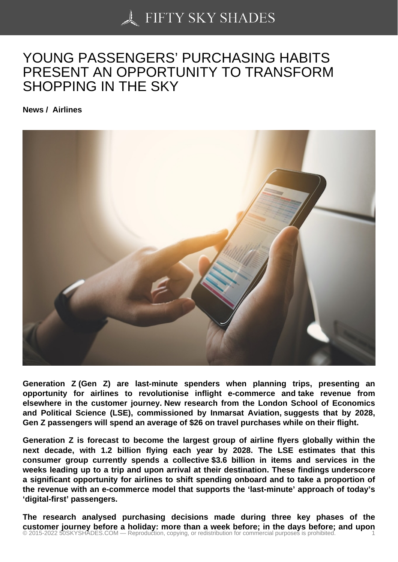## [YOUNG PASSENGER](https://50skyshades.com)S' PURCHASING HABITS PRESENT AN OPPORTUNITY TO TRANSFORM SHOPPING IN THE SKY

News / Airlines

Generation Z (Gen Z) are last-minute spenders when planning trips, presenting an opportunity for airlines to revolutionise inflight e-commerce and take revenue from elsewhere in the customer journey. New research from the London School of Economics and Political Science (LSE), commissioned by Inmarsat Aviation, suggests that by 2028, Gen Z passengers will spend an average of \$26 on travel purchases while on their flight.

Generation Z is forecast to become the largest group of airline flyers globally within the next decade, with 1.2 billion flying each year by 2028. The LSE estimates that this consumer group currently spends a collective \$3.6 billion in items and services in the weeks leading up to a trip and upon arrival at their destination. These findings underscore a significant opportunity for airlines to shift spending onboard and to take a proportion of the revenue with an e-commerce model that supports the 'last-minute' approach of today's 'digital-first' passengers.

The research analysed purchasing decisions made during three key phases of the customer journey before a holiday: more than a week before; in the days before; and upon custofy and upon and the days before; and upon and the expredition, copying, or redistribution for commercial purposes is prohibited.